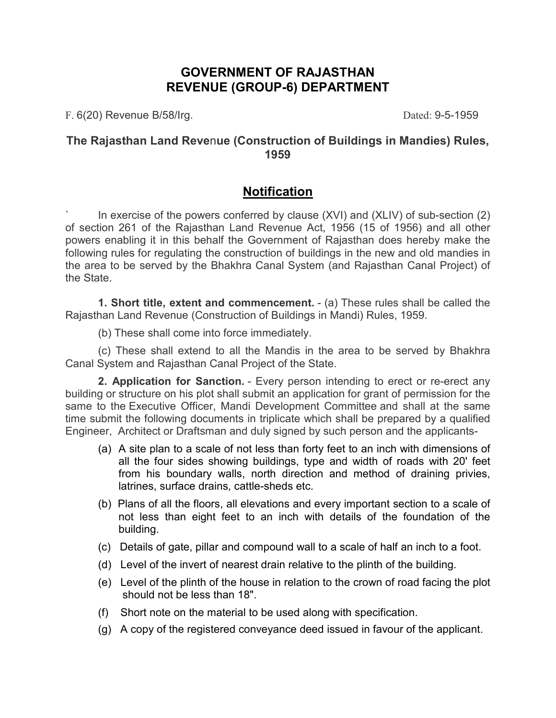## **GOVERNMENT OF RAJASTHAN REVENUE (GROUP-6) DEPARTMENT**

F. 6(20) Revenue B/58/Irg. (2008) 2014 12:30 Dated: 9-5-1959

### **The Rajasthan Land Reve**n**ue (Construction of Buildings in Mandies) Rules, 1959**

# **Notification**

In exercise of the powers conferred by clause  $(XVI)$  and  $(XLIV)$  of sub-section  $(2)$ of section 261 of the Rajasthan Land Revenue Act, 1956 (15 of 1956) and all other powers enabling it in this behalf the Government of Rajasthan does hereby make the following rules for regulating the construction of buildings in the new and old mandies in the area to be served by the Bhakhra Canal System (and Rajasthan Canal Project) of the State.

**1. Short title, extent and commencement.** - (a) These rules shall be called the Rajasthan Land Revenue (Construction of Buildings in Mandi) Rules, 1959.

(b) These shall come into force immediately.

(c) These shall extend to all the Mandis in the area to be served by Bhakhra Canal System and Rajasthan Canal Project of the State.

**2. Application for Sanction.** - Every person intending to erect or re-erect any building or structure on his plot shall submit an application for grant of permission for the same to the Executive Officer, Mandi Development Committee and shall at the same time submit the following documents in triplicate which shall be prepared by a qualified Engineer, Architect or Draftsman and duly signed by such person and the applicants-

- (a) A site plan to a scale of not less than forty feet to an inch with dimensions of all the four sides showing buildings, type and width of roads with 20' feet from his boundary walls, north direction and method of draining privies, latrines, surface drains, cattle-sheds etc.
- (b) Plans of all the floors, all elevations and every important section to a scale of not less than eight feet to an inch with details of the foundation of the building.
- (c) Details of gate, pillar and compound wall to a scale of half an inch to a foot.
- (d) Level of the invert of nearest drain relative to the plinth of the building.
- (e) Level of the plinth of the house in relation to the crown of road facing the plot should not be less than 18".
- (f) Short note on the material to be used along with specification.
- (g) A copy of the registered conveyance deed issued in favour of the applicant.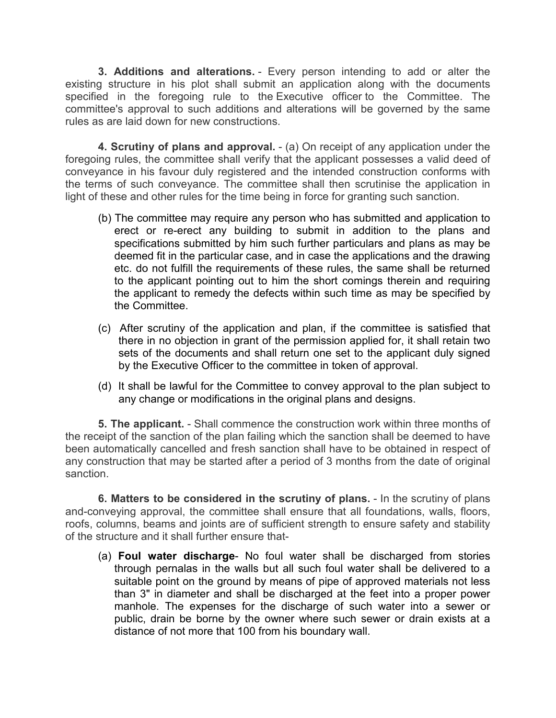**3. Additions and alterations.** - Every person intending to add or alter the existing structure in his plot shall submit an application along with the documents specified in the foregoing rule to the Executive officer to the Committee. The committee's approval to such additions and alterations will be governed by the same rules as are laid down for new constructions.

**4. Scrutiny of plans and approval.** - (a) On receipt of any application under the foregoing rules, the committee shall verify that the applicant possesses a valid deed of conveyance in his favour duly registered and the intended construction conforms with the terms of such conveyance. The committee shall then scrutinise the application in light of these and other rules for the time being in force for granting such sanction.

- (b) The committee may require any person who has submitted and application to erect or re-erect any building to submit in addition to the plans and specifications submitted by him such further particulars and plans as may be deemed fit in the particular case, and in case the applications and the drawing etc. do not fulfill the requirements of these rules, the same shall be returned to the applicant pointing out to him the short comings therein and requiring the applicant to remedy the defects within such time as may be specified by the Committee.
- (c) After scrutiny of the application and plan, if the committee is satisfied that there in no objection in grant of the permission applied for, it shall retain two sets of the documents and shall return one set to the applicant duly signed by the Executive Officer to the committee in token of approval.
- (d) It shall be lawful for the Committee to convey approval to the plan subject to any change or modifications in the original plans and designs.

**5. The applicant.** - Shall commence the construction work within three months of the receipt of the sanction of the plan failing which the sanction shall be deemed to have been automatically cancelled and fresh sanction shall have to be obtained in respect of any construction that may be started after a period of 3 months from the date of original sanction.

**6. Matters to be considered in the scrutiny of plans.** - In the scrutiny of plans and-conveying approval, the committee shall ensure that all foundations, walls, floors, roofs, columns, beams and joints are of sufficient strength to ensure safety and stability of the structure and it shall further ensure that-

(a) **Foul water discharge**- No foul water shall be discharged from stories through pernalas in the walls but all such foul water shall be delivered to a suitable point on the ground by means of pipe of approved materials not less than 3" in diameter and shall be discharged at the feet into a proper power manhole. The expenses for the discharge of such water into a sewer or public, drain be borne by the owner where such sewer or drain exists at a distance of not more that 100 from his boundary wall.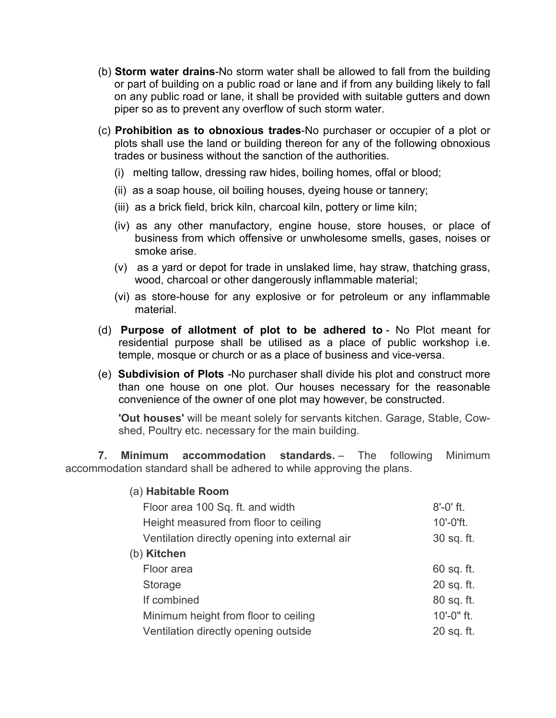- (b) **Storm water drains**-No storm water shall be allowed to fall from the building or part of building on a public road or lane and if from any building likely to fall on any public road or lane, it shall be provided with suitable gutters and down piper so as to prevent any overflow of such storm water.
- (c) **Prohibition as to obnoxious trades**-No purchaser or occupier of a plot or plots shall use the land or building thereon for any of the following obnoxious trades or business without the sanction of the authorities.
	- (i) melting tallow, dressing raw hides, boiling homes, offal or blood;
	- (ii) as a soap house, oil boiling houses, dyeing house or tannery;
	- (iii) as a brick field, brick kiln, charcoal kiln, pottery or lime kiln;
	- (iv) as any other manufactory, engine house, store houses, or place of business from which offensive or unwholesome smells, gases, noises or smoke arise.
	- (v) as a yard or depot for trade in unslaked lime, hay straw, thatching grass, wood, charcoal or other dangerously inflammable material;
	- (vi) as store-house for any explosive or for petroleum or any inflammable material.
- (d) **Purpose of allotment of plot to be adhered to** No Plot meant for residential purpose shall be utilised as a place of public workshop i.e. temple, mosque or church or as a place of business and vice-versa.
- (e) **Subdivision of Plots** -No purchaser shall divide his plot and construct more than one house on one plot. Our houses necessary for the reasonable convenience of the owner of one plot may however, be constructed.

**'Out houses'** will be meant solely for servants kitchen. Garage, Stable, Cowshed, Poultry etc. necessary for the main building.

**7. Minimum accommodation standards.** – The following Minimum accommodation standard shall be adhered to while approving the plans.

| (a) Habitable Room                             |               |
|------------------------------------------------|---------------|
| Floor area 100 Sq. ft. and width               | $8' - 0'$ ft. |
| Height measured from floor to ceiling          | 10'-0'ft.     |
| Ventilation directly opening into external air | 30 sq. ft.    |
| (b) Kitchen                                    |               |
| Floor area                                     | $60$ sq. ft.  |
| Storage                                        | 20 sq. ft.    |
| If combined                                    | 80 sq. ft.    |
| Minimum height from floor to ceiling           | 10'-0" ft.    |
| Ventilation directly opening outside           | 20 sq. ft.    |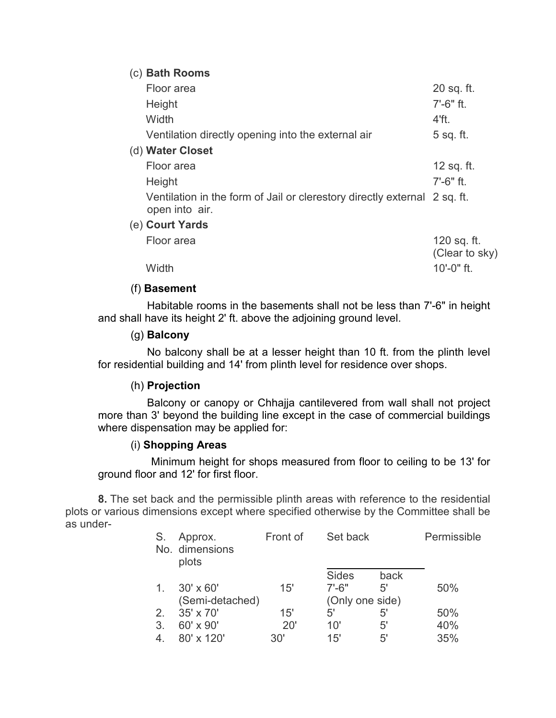#### (c) **Bath Rooms**

| Floor area                                                                                  | 20 sq. ft.                    |
|---------------------------------------------------------------------------------------------|-------------------------------|
| Height                                                                                      | $7' - 6"$ ft.                 |
| Width                                                                                       | 4'ft.                         |
| Ventilation directly opening into the external air                                          | 5 sq. ft.                     |
| (d) Water Closet                                                                            |                               |
| Floor area                                                                                  | 12 sq. ft.                    |
| Height                                                                                      | $7' - 6"$ ft.                 |
| Ventilation in the form of Jail or clerestory directly external 2 sq. ft.<br>open into air. |                               |
| (e) Court Yards                                                                             |                               |
| Floor area                                                                                  | 120 sq. ft.<br>(Clear to sky) |
| Width                                                                                       | $10' - 0"$ ft.                |

#### (f) **Basement**

Habitable rooms in the basements shall not be less than 7'-6" in height and shall have its height 2' ft. above the adjoining ground level.

#### (g) **Balcony**

No balcony shall be at a lesser height than 10 ft. from the plinth level for residential building and 14' from plinth level for residence over shops.

#### (h) **Projection**

Balcony or canopy or Chhajja cantilevered from wall shall not project more than 3' beyond the building line except in the case of commercial buildings where dispensation may be applied for:

#### (i) **Shopping Areas**

Minimum height for shops measured from floor to ceiling to be 13' for ground floor and 12' for first floor.

**8.** The set back and the permissible plinth areas with reference to the residential plots or various dimensions except where specified otherwise by the Committee shall be as under-

| S.             | Approx.<br>No. dimensions<br>plots | Front of | Set back        |             | Permissible |
|----------------|------------------------------------|----------|-----------------|-------------|-------------|
|                |                                    |          | <b>Sides</b>    | back        |             |
| $\mathbf{1}$ . | $30' \times 60'$                   | 15'      | $7' - 6"$       | 5'          | 50%         |
|                | (Semi-detached)                    |          | (Only one side) |             |             |
| 2.             | 35' x 70'                          | 15'      | 5'              | $5^{\circ}$ | 50%         |
| 3.             | 60' x 90'                          | 20'      | 10'             | 5'          | 40%         |
| 4              | 80' x 120'                         | 30'      | 15'             | 5'          | 35%         |